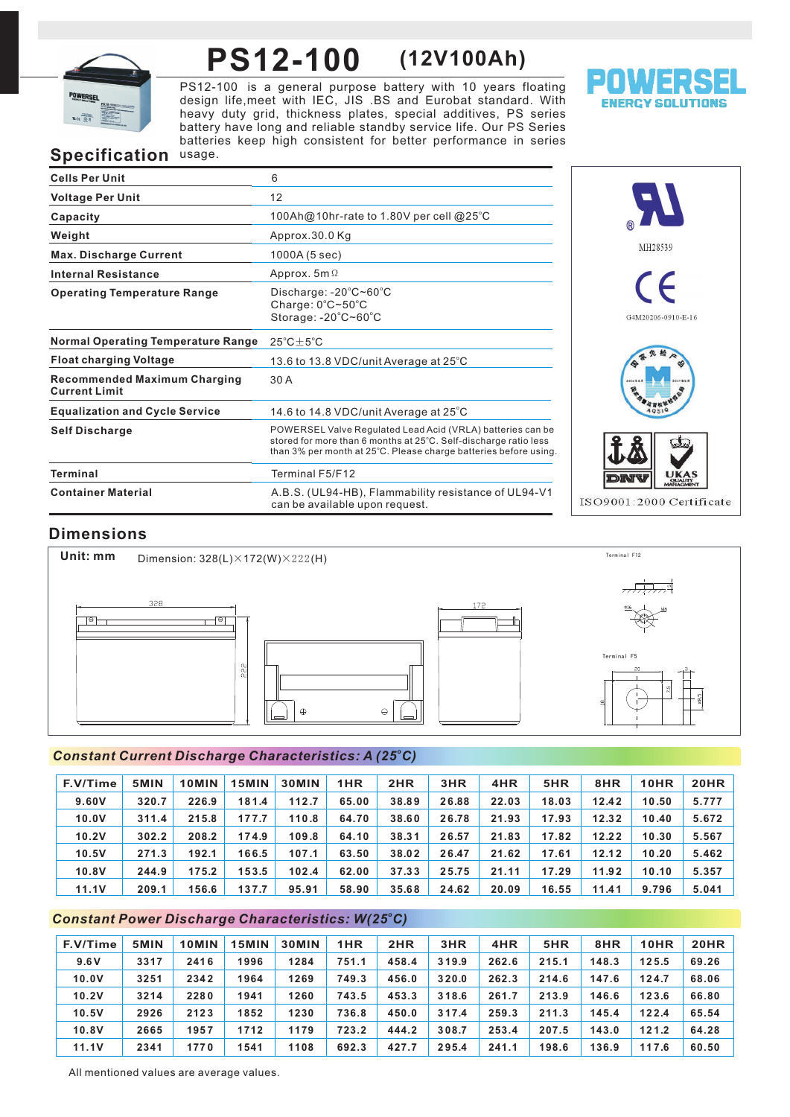

# **PS12-100 (12V100Ah)**

PS12-100 is a general purpose battery with 10 years floating design life,meet with IEC, JIS .BS and Eurobat standard. With heavy duty grid, thickness plates, special additives, PS series battery have long and reliable standby service life. Our PS Series batteries keep high consistent for better performance in series



# **Specification** usage.

| <b>Cells Per Unit</b>                                       | 6                                                                                                                                                                                                  |
|-------------------------------------------------------------|----------------------------------------------------------------------------------------------------------------------------------------------------------------------------------------------------|
| <b>Voltage Per Unit</b>                                     | 12                                                                                                                                                                                                 |
| Capacity                                                    | 100Ah@10hr-rate to 1.80V per cell @25°C                                                                                                                                                            |
| Weight                                                      | Approx.30.0 Kg                                                                                                                                                                                     |
| <b>Max. Discharge Current</b>                               | 1000A (5 sec)                                                                                                                                                                                      |
| <b>Internal Resistance</b>                                  | Approx. $5m\Omega$                                                                                                                                                                                 |
| <b>Operating Temperature Range</b>                          | Discharge: $-20^{\circ}$ C $-60^{\circ}$ C<br>Charge: $0^{\circ}$ C~50 $^{\circ}$ C<br>Storage: -20°C~60°C                                                                                         |
| <b>Normal Operating Temperature Range</b>                   | $25^{\circ}$ C $\pm$ 5 $^{\circ}$ C                                                                                                                                                                |
| <b>Float charging Voltage</b>                               | 13.6 to 13.8 VDC/unit Average at $25^{\circ}$ C                                                                                                                                                    |
| <b>Recommended Maximum Charging</b><br><b>Current Limit</b> | 30 A                                                                                                                                                                                               |
| <b>Equalization and Cycle Service</b>                       | 14.6 to 14.8 VDC/unit Average at $25^{\circ}$ C                                                                                                                                                    |
| <b>Self Discharge</b>                                       | POWERSEL Valve Regulated Lead Acid (VRLA) batteries can be<br>stored for more than 6 months at 25°C. Self-discharge ratio less<br>than 3% per month at 25°C. Please charge batteries before using. |
| Terminal                                                    | Terminal F5/F12                                                                                                                                                                                    |
| <b>Container Material</b>                                   | A.B.S. (UL94-HB), Flammability resistance of UL94-V1<br>can be available upon request.                                                                                                             |



# **Dimensions**



## *<sup>o</sup> Constant Current Discharge Characteristics: A (25 C)*

| F.V/Time | 5MIN  | 10MIN | 15MIN | <b>30MIN</b> | 1HR   | 2HR   | 3HR   | 4HR   | 5HR   | 8HR   | 10HR  | <b>20HR</b> |
|----------|-------|-------|-------|--------------|-------|-------|-------|-------|-------|-------|-------|-------------|
| 9.60V    | 320.7 | 226.9 | 181.4 | 112.7        | 65.00 | 38.89 | 26.88 | 22.03 | 18.03 | 12.42 | 10.50 | 5.777       |
| 10.0V    | 311.4 | 215.8 | 177.7 | 110.8        | 64.70 | 38.60 | 26.78 | 21.93 | 17.93 | 12.32 | 10.40 | 5.672       |
| 10.2V    | 302.2 | 208.2 | 174.9 | 109.8        | 64.10 | 38.31 | 26.57 | 21.83 | 17.82 | 12.22 | 10.30 | 5.567       |
| 10.5V    | 271.3 | 192.1 | 166.5 | 107.1        | 63.50 | 38.02 | 26.47 | 21.62 | 17.61 | 12.12 | 10.20 | 5.462       |
| 10.8V    | 244.9 | 175.2 | 153.5 | 102.4        | 62.00 | 37.33 | 25.75 | 21.11 | 17.29 | 11.92 | 10.10 | 5.357       |
| 11.1V    | 209.1 | 156.6 | 137.7 | 95.91        | 58.90 | 35.68 | 24.62 | 20.09 | 16.55 | 11.41 | 9.796 | 5.041       |

# *<sup>o</sup> Constant Power Discharge Characteristics: W(25 C)*

| F.V/Time | 5MIN | 10MIN | 15MIN | <b>30MIN</b> | 1HR   | 2HR   | 3HR   | 4HR   | 5HR   | 8HR   | 10HR  | <b>20HR</b> |
|----------|------|-------|-------|--------------|-------|-------|-------|-------|-------|-------|-------|-------------|
| 9.6V     | 3317 | 2416  | 1996  | 1284         | 751.1 | 458.4 | 319.9 | 262.6 | 215.1 | 148.3 | 125.5 | 69.26       |
| 10.0V    | 3251 | 2342  | 1964  | 1269         | 749.3 | 456.0 | 320.0 | 262.3 | 214.6 | 147.6 | 124.7 | 68.06       |
| 10.2V    | 3214 | 2280  | 1941  | 1260         | 743.5 | 453.3 | 318.6 | 261.7 | 213.9 | 146.6 | 123.6 | 66.80       |
| 10.5V    | 2926 | 2123  | 1852  | 1230         | 736.8 | 450.0 | 317.4 | 259.3 | 211.3 | 145.4 | 122.4 | 65.54       |
| 10.8V    | 2665 | 1957  | 1712  | 1179         | 723.2 | 444.2 | 308.7 | 253.4 | 207.5 | 143.0 | 121.2 | 64.28       |
| 11.1V    | 2341 | 1770  | 1541  | 1108         | 692.3 | 427.7 | 295.4 | 241.1 | 198.6 | 136.9 | 117.6 | 60.50       |

All mentioned values are average values.